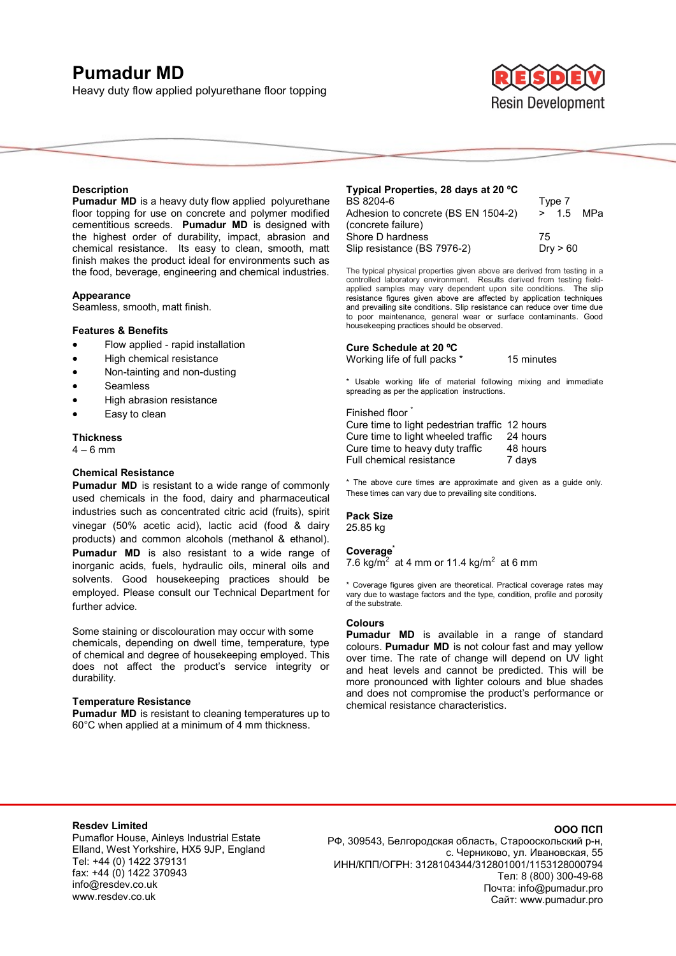# **Pumadur MD**

Heavy duty flow applied polyurethane floor topping



## **Description**

**Pumadur MD** is a heavy duty flow applied polyurethane floor topping for use on concrete and polymer modified cementitious screeds. **Pumadur MD** is designed with the highest order of durability, impact, abrasion and chemical resistance. Its easy to clean, smooth, matt finish makes the product ideal for environments such as the food, beverage, engineering and chemical industries.

#### **Appearance**

Seamless, smooth, matt finish.

## **Features & Benefits**

- Flow applied rapid installation
- High chemical resistance
- Non-tainting and non-dusting
- Seamless
- High abrasion resistance
- Easy to clean
- 

#### **Thickness**   $4 - 6$  mm

## **Chemical Resistance**

**Pumadur MD** is resistant to a wide range of commonly used chemicals in the food, dairy and pharmaceutical industries such as concentrated citric acid (fruits), spirit vinegar (50% acetic acid), lactic acid (food & dairy products) and common alcohols (methanol & ethanol). **Pumadur MD** is also resistant to a wide range of inorganic acids, fuels, hydraulic oils, mineral oils and solvents. Good housekeeping practices should be employed. Please consult our Technical Department for further advice.

Some staining or discolouration may occur with some chemicals, depending on dwell time, temperature, type of chemical and degree of housekeeping employed. This does not affect the product's service integrity or durability.

#### **Temperature Resistance**

**Pumadur MD** is resistant to cleaning temperatures up to 60°C when applied at a minimum of 4 mm thickness.

| Typical Properties, 28 days at 20 °C |           |
|--------------------------------------|-----------|
| BS 8204-6                            | Type 7    |
| Adhesion to concrete (BS EN 1504-2)  | > 1.5 MPa |
| (concrete failure)                   |           |
| Shore D hardness                     | 75        |
| Slip resistance (BS 7976-2)          | Dry > 60  |

The typical physical properties given above are derived from testing in a controlled laboratory environment. Results derived from testing fieldapplied samples may vary dependent upon site conditions. The slip resistance figures given above are affected by application techniques and prevailing site conditions. Slip resistance can reduce over time due to poor maintenance, general wear or surface contaminants. Good housekeeping practices should be observed.

#### **Cure Schedule at 20 ºC**

Working life of full packs \* 15 minutes

\* Usable working life of material following mixing and immediate spreading as per the application instructions.

#### Finished floor<sup>\*</sup>

Cure time to light pedestrian traffic 12 hours Cure time to light wheeled traffic 24 hours Cure time to heavy duty traffic 48 hours Full chemical resistance 7 days

\* The above cure times are approximate and given as a guide only. These times can vary due to prevailing site conditions.

## **Pack Size**

25.85 kg

#### **Coverage\***

7.6 kg/m<sup>2</sup> at 4 mm or 11.4 kg/m<sup>2</sup> at 6 mm

\* Coverage figures given are theoretical. Practical coverage rates may vary due to wastage factors and the type, condition, profile and porosity of the substrate.

# **Colours**

**Pumadur MD** is available in a range of standard colours. **Pumadur MD** is not colour fast and may yellow over time. The rate of change will depend on UV light and heat levels and cannot be predicted. This will be more pronounced with lighter colours and blue shades and does not compromise the product's performance or chemical resistance characteristics.

## **Resdev Limited**

Pumaflor House, Ainleys Industrial Estate Elland, West Yorkshire, HX5 9JP, England Tel: +44 (0) 1422 379131 fax: +44 (0) 1422 370943 info@resdev.co.uk www.resdev.co.uk

# **ООО ПСП**

РФ, 309543, Белгородская область, Старооскольский р-н, с. Черниково, ул. Ивановская, 55 ИНН/КПП/ОГРН: 3128104344/312801001/1153128000794 Тел: 8 (800) 300-49-68 Почта: info@pumadur.pro Сайт: www.pumadur.pro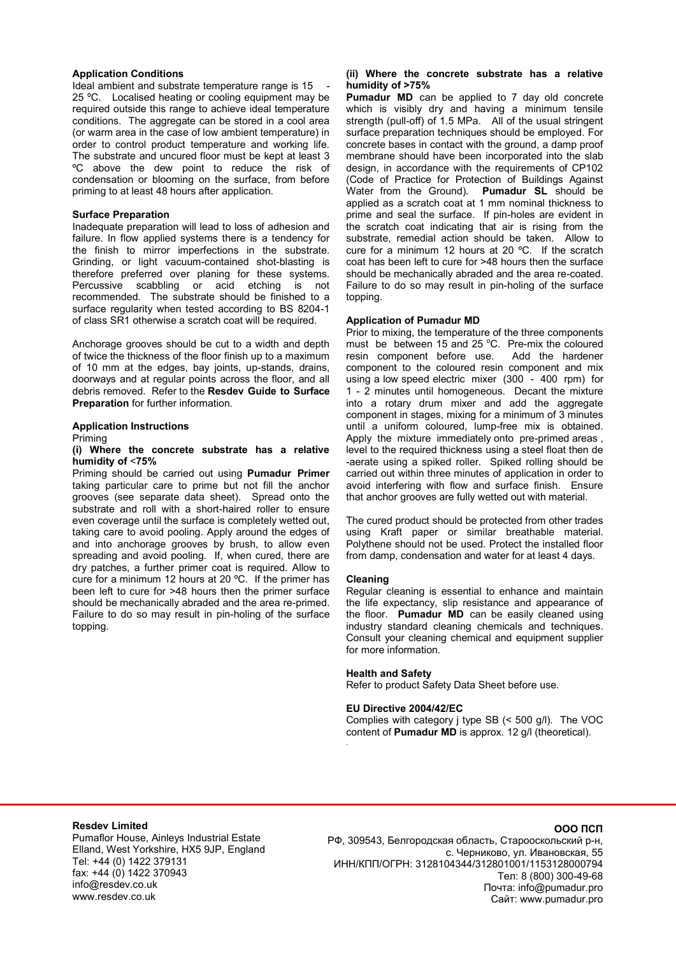#### **Application Conditions**

Ideal ambient and substrate temperature range is 15 25 ºC. Localised heating or cooling equipment may be required outside this range to achieve ideal temperature conditions. The aggregate can be stored in a cool area (or warm area in the case of low ambient temperature) in order to control product temperature and working life. The substrate and uncured floor must be kept at least 3 ºC above the dew point to reduce the risk of condensation or blooming on the surface, from before priming to at least 48 hours after application.

#### **Surface Preparation**

Inadequate preparation will lead to loss of adhesion and failure. In flow applied systems there is a tendency for the finish to mirror imperfections in the substrate. Grinding, or light vacuum-contained shot-blasting is therefore preferred over planing for these systems. Percussive scabbling or acid etching is not recommended. The substrate should be finished to a surface regularity when tested according to BS 8204-1 of class SR1 otherwise a scratch coat will be required.

Anchorage grooves should be cut to a width and depth of twice the thickness of the floor finish up to a maximum of 10 mm at the edges, bay joints, up-stands, drains, doorways and at regular points across the floor, and all debris removed. Refer to the **Resdev Guide to Surface Preparation** for further information.

## **Application Instructions**

Priming

#### **(i) Where the concrete substrate has a relative humidity of** <**75%**

Priming should be carried out using **Pumadur Primer** taking particular care to prime but not fill the anchor grooves (see separate data sheet). Spread onto the substrate and roll with a short-haired roller to ensure even coverage until the surface is completely wetted out, taking care to avoid pooling. Apply around the edges of and into anchorage grooves by brush, to allow even spreading and avoid pooling. If, when cured, there are dry patches, a further primer coat is required. Allow to cure for a minimum 12 hours at 20 ºC. If the primer has been left to cure for >48 hours then the primer surface should be mechanically abraded and the area re-primed. Failure to do so may result in pin-holing of the surface topping.

## **(ii) Where the concrete substrate has a relative humidity of >75%**

**Pumadur MD** can be applied to 7 day old concrete which is visibly dry and having a minimum tensile strength (pull-off) of 1.5 MPa. All of the usual stringent surface preparation techniques should be employed. For concrete bases in contact with the ground, a damp proof membrane should have been incorporated into the slab design, in accordance with the requirements of CP102 (Code of Practice for Protection of Buildings Against Water from the Ground). **Pumadur SL** should be applied as a scratch coat at 1 mm nominal thickness to prime and seal the surface. If pin-holes are evident in the scratch coat indicating that air is rising from the substrate, remedial action should be taken. Allow to cure for a minimum 12 hours at 20 ºC. If the scratch coat has been left to cure for >48 hours then the surface should be mechanically abraded and the area re-coated. Failure to do so may result in pin-holing of the surface topping.

## **Application of Pumadur MD**

Prior to mixing, the temperature of the three components must be between 15 and 25  $^{\circ}$ C. Pre-mix the coloured resin component before use. Add the hardener component to the coloured resin component and mix using a low speed electric mixer (300 - 400 rpm) for 1 - 2 minutes until homogeneous. Decant the mixture into a rotary drum mixer and add the aggregate component in stages, mixing for a minimum of 3 minutes until a uniform coloured, lump-free mix is obtained. Apply the mixture immediately onto pre-primed areas , level to the required thickness using a steel float then de -aerate using a spiked roller. Spiked rolling should be carried out within three minutes of application in order to avoid interfering with flow and surface finish. Ensure that anchor grooves are fully wetted out with material.

The cured product should be protected from other trades using Kraft paper or similar breathable material. Polythene should not be used. Protect the installed floor from damp, condensation and water for at least 4 days.

## **Cleaning**

.

Regular cleaning is essential to enhance and maintain the life expectancy, slip resistance and appearance of the floor. **Pumadur MD** can be easily cleaned using industry standard cleaning chemicals and techniques. Consult your cleaning chemical and equipment supplier for more information.

# **Health and Safety**

Refer to product Safety Data Sheet before use.

## **EU Directive 2004/42/EC**

Complies with category j type SB (< 500 g/l). The VOC content of **Pumadur MD** is approx. 12 g/l (theoretical).

## **Resdev Limited**

Pumaflor House, Ainleys Industrial Estate Elland, West Yorkshire, HX5 9JP, England Tel: +44 (0) 1422 379131 fax: +44 (0) 1422 370943 info@resdev.co.uk www.resdev.co.uk

## **ООО ПСП**

РФ, 309543, Белгородская область, Старооскольский р-н, с. Черниково, ул. Ивановская, 55 ИНН/КПП/ОГРН: 3128104344/312801001/1153128000794 Тел: 8 (800) 300-49-68 Почта: info@pumadur.pro Сайт: www.pumadur.pro